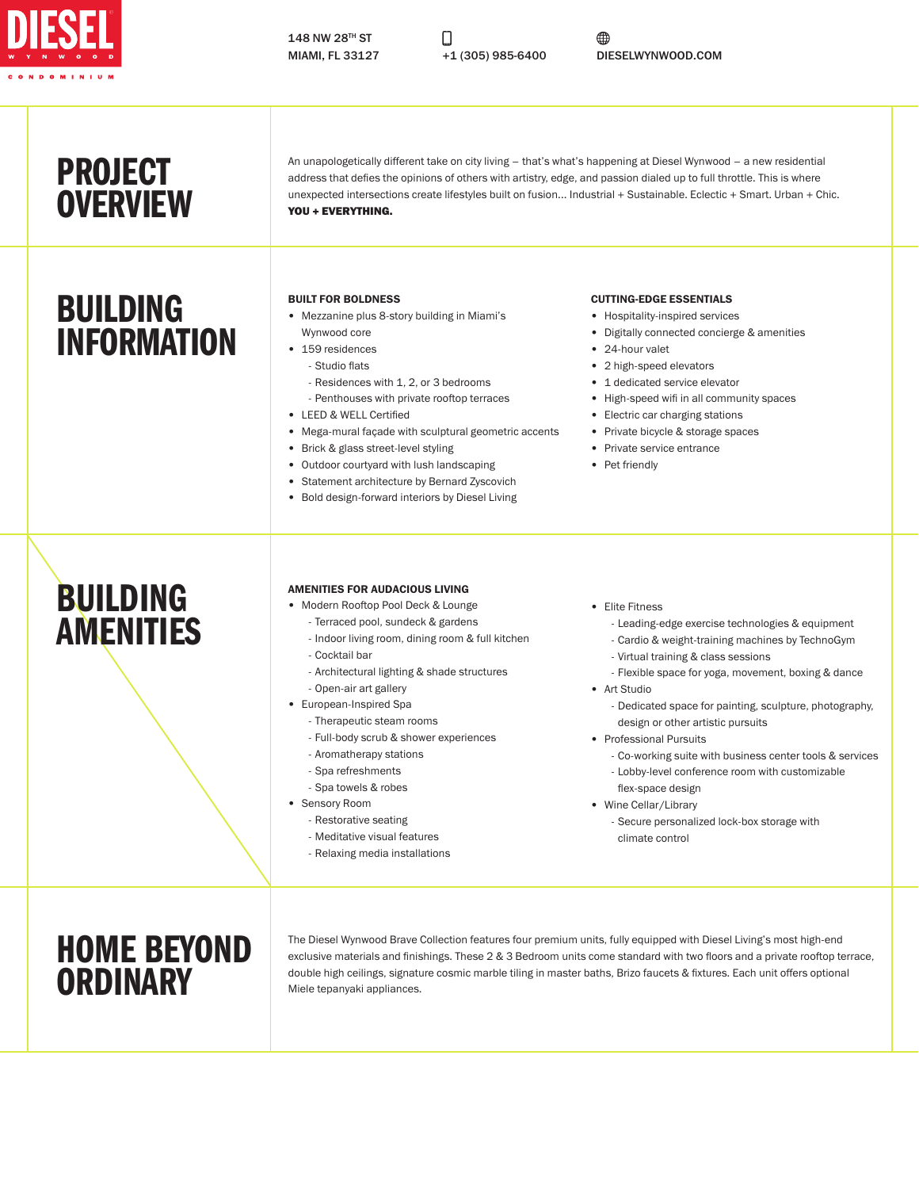

Ω

⊕ MIAMI, FL 33127 +1 (305) 985-6400 DIESELWYNWOOD.COM

## PROJECT **OVERVIEW**

## BUILDING INFORMATION

An unapologetically different take on city living – that's what's happening at Diesel Wynwood – a new residential address that defies the opinions of others with artistry, edge, and passion dialed up to full throttle. This is where unexpected intersections create lifestyles built on fusion... Industrial + Sustainable. Eclectic + Smart. Urban + Chic. YOU + EVERYTHING.

#### BUILT FOR BOLDNESS

- Mezzanine plus 8-story building in Miami's Wynwood core
- 159 residences
	- Studio flats
	- Residences with 1, 2, or 3 bedrooms
	- Penthouses with private rooftop terraces
- LEED & WELL Certified
- Mega-mural façade with sculptural geometric accents
- Brick & glass street-level styling
- Outdoor courtyard with lush landscaping
- Statement architecture by Bernard Zyscovich
- Bold design-forward interiors by Diesel Living

#### CUTTING-EDGE ESSENTIALS

- Hospitality-inspired services
- Digitally connected concierge & amenities
- 24-hour valet
- 2 high-speed elevators
- 1 dedicated service elevator
- High-speed wifi in all community spaces
- Electric car charging stations
- Private bicycle & storage spaces
- Private service entrance
- Pet friendly

## BUILDING AMENITIES

#### AMENITIES FOR AUDACIOUS LIVING

- Modern Rooftop Pool Deck & Lounge
	- Terraced pool, sundeck & gardens
	- Indoor living room, dining room & full kitchen - Cocktail bar
	- Architectural lighting & shade structures
	- Open-air art gallery
- European-Inspired Spa
	- Therapeutic steam rooms
	- Full-body scrub & shower experiences
	- Aromatherapy stations
	- Spa refreshments
	- Spa towels & robes
- Sensory Room
	- Restorative seating
	- Meditative visual features
	- Relaxing media installations
- Elite Fitness
	- Leading-edge exercise technologies & equipment
	- Cardio & weight-training machines by TechnoGym
	- Virtual training & class sessions - Flexible space for yoga, movement, boxing & dance
- Art Studio
	- Dedicated space for painting, sculpture, photography, design or other artistic pursuits
- Professional Pursuits
	- Co-working suite with business center tools & services
	- Lobby-level conference room with customizable
- flex-space design • Wine Cellar/Library
	- Secure personalized lock-box storage with climate control

## HOME BEYOND **ORDINARY**

The Diesel Wynwood Brave Collection features four premium units, fully equipped with Diesel Living's most high-end exclusive materials and finishings. These 2 & 3 Bedroom units come standard with two floors and a private rooftop terrace, double high ceilings, signature cosmic marble tiling in master baths, Brizo faucets & fixtures. Each unit offers optional Miele tepanyaki appliances.